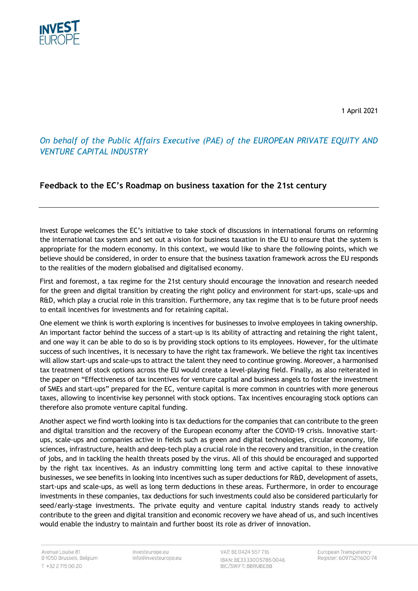

1 April 2021

# *On behalf of the Public Affairs Executive (PAE) of the EUROPEAN PRIVATE EQUITY AND VENTURE CAPITAL INDUSTRY*

# **Feedback to the EC's Roadmap on business taxation for the 21st century**

Invest Europe welcomes the EC's initiative to take stock of discussions in international forums on reforming the international tax system and set out a vision for business taxation in the EU to ensure that the system is appropriate for the modern economy. In this context, we would like to share the following points, which we believe should be considered, in order to ensure that the business taxation framework across the EU responds to the realities of the modern globalised and digitalised economy.

First and foremost, a tax regime for the 21st century should encourage the innovation and research needed for the green and digital transition by creating the right policy and environment for start-ups, scale-ups and R&D, which play a crucial role in this transition. Furthermore, any tax regime that is to be future proof needs to entail incentives for investments and for retaining capital.

One element we think is worth exploring is incentives for businesses to involve employees in taking ownership. An important factor behind the success of a start-up is its ability of attracting and retaining the right talent, and one way it can be able to do so is by providing stock options to its employees. However, for the ultimate success of such incentives, it is necessary to have the right tax framework. We believe the right tax incentives will allow start-ups and scale-ups to attract the talent they need to continue growing. Moreover, a harmonised tax treatment of stock options across the EU would create a level-playing field. Finally, as also reiterated in the paper on "Effectiveness of tax incentives for venture capital and business angels to foster the investment of SMEs and start-ups" prepared for the EC, venture capital is more common in countries with more generous taxes, allowing to incentivise key personnel with stock options. Tax incentives encouraging stock options can therefore also promote venture capital funding.

Another aspect we find worth looking into is tax deductions for the companies that can contribute to the green and digital transition and the recovery of the European economy after the COVID-19 crisis. Innovative startups, scale-ups and companies active in fields such as green and digital technologies, circular economy, life sciences, infrastructure, health and deep-tech play a crucial role in the recovery and transition, in the creation of jobs, and in tackling the health threats posed by the virus. All of this should be encouraged and supported by the right tax incentives. As an industry committing long term and active capital to these innovative businesses, we see benefits in looking into incentives such as super deductions for R&D, development of assets, start-ups and scale-ups, as well as long term deductions in these areas. Furthermore, in order to encourage investments in these companies, tax deductions for such investments could also be considered particularly for seed/early-stage investments. The private equity and venture capital industry stands ready to actively contribute to the green and digital transition and economic recovery we have ahead of us, and such incentives would enable the industry to maintain and further boost its role as driver of innovation.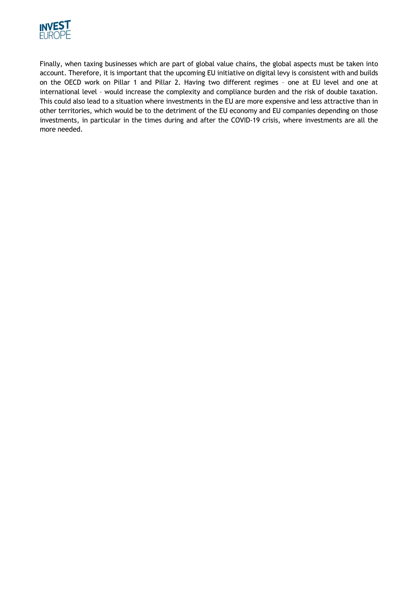

Finally, when taxing businesses which are part of global value chains, the global aspects must be taken into account. Therefore, it is important that the upcoming EU initiative on digital levy is consistent with and builds on the OECD work on Pillar 1 and Pillar 2. Having two different regimes – one at EU level and one at international level – would increase the complexity and compliance burden and the risk of double taxation. This could also lead to a situation where investments in the EU are more expensive and less attractive than in other territories, which would be to the detriment of the EU economy and EU companies depending on those investments, in particular in the times during and after the COVID-19 crisis, where investments are all the more needed.